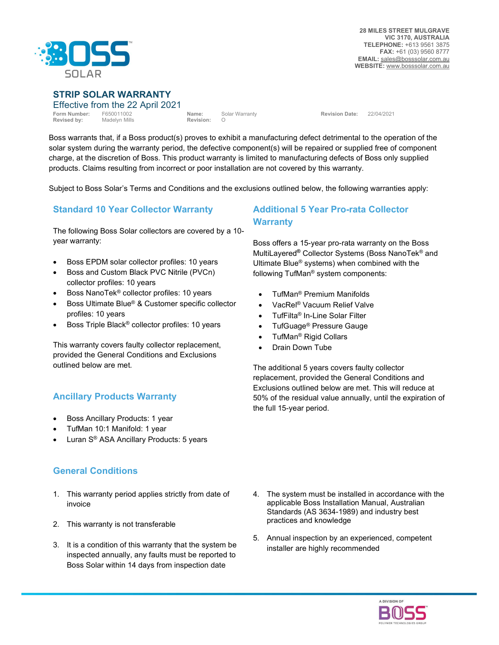

#### STRIP SOLAR WARRANTY

| Effective from the 22 April 2021              |               |                    |                |                       |            |
|-----------------------------------------------|---------------|--------------------|----------------|-----------------------|------------|
| <b>Form Number: F650011002</b><br>Revised by: | Madelyn Mills | Name:<br>Revision: | Solar Warranty | <b>Revision Date:</b> | 22/04/2021 |

Boss warrants that, if a Boss product(s) proves to exhibit a manufacturing defect detrimental to the operation of the solar system during the warranty period, the defective component(s) will be repaired or supplied free of component charge, at the discretion of Boss. This product warranty is limited to manufacturing defects of Boss only supplied products. Claims resulting from incorrect or poor installation are not covered by this warranty.

Subject to Boss Solar's Terms and Conditions and the exclusions outlined below, the following warranties apply:

## Standard 10 Year Collector Warranty

The following Boss Solar collectors are covered by a 10 year warranty:

- Boss EPDM solar collector profiles: 10 years
- Boss and Custom Black PVC Nitrile (PVCn) collector profiles: 10 years
- Boss NanoTek® collector profiles: 10 years
- Boss Ultimate Blue® & Customer specific collector profiles: 10 years
- Boss Triple Black® collector profiles: 10 years

This warranty covers faulty collector replacement, provided the General Conditions and Exclusions outlined below are met.

## Ancillary Products Warranty

- Boss Ancillary Products: 1 year
- TufMan 10:1 Manifold: 1 year
- Luran S® ASA Ancillary Products: 5 years

## General Conditions

- 1. This warranty period applies strictly from date of invoice
- 2. This warranty is not transferable
- 3. It is a condition of this warranty that the system be inspected annually, any faults must be reported to Boss Solar within 14 days from inspection date

## Additional 5 Year Pro-rata Collector **Warranty**

Boss offers a 15-year pro-rata warranty on the Boss MultiLayered® Collector Systems (Boss NanoTek® and Ultimate Blue® systems) when combined with the following TufMan® system components:

- TufMan® Premium Manifolds
- VacRel® Vacuum Relief Valve
- TufFilta® In-Line Solar Filter
- TufGuage® Pressure Gauge
- TufMan® Rigid Collars
- Drain Down Tube

The additional 5 years covers faulty collector replacement, provided the General Conditions and Exclusions outlined below are met. This will reduce at 50% of the residual value annually, until the expiration of the full 15-year period.

- 4. The system must be installed in accordance with the applicable Boss Installation Manual, Australian Standards (AS 3634-1989) and industry best practices and knowledge
- 5. Annual inspection by an experienced, competent installer are highly recommended

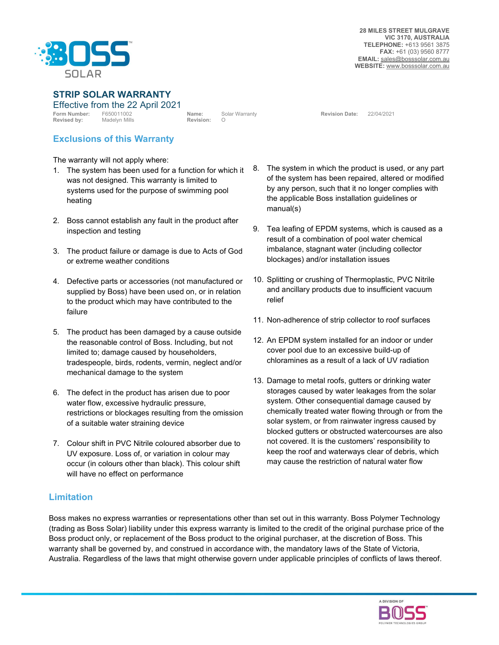

STRIP SOLAR WARRANTY

Effective from the 22 April 2021 Form Number: F650011002 Name: Solar Warranty Revision Date: 22/04/2021 Revised by: Madelyn Mills **Revision:** O **Revision:** O

## Exclusions of this Warranty

The warranty will not apply where:

- 1. The system has been used for a function for which it was not designed. This warranty is limited to systems used for the purpose of swimming pool heating
- 2. Boss cannot establish any fault in the product after inspection and testing
- 3. The product failure or damage is due to Acts of God or extreme weather conditions
- 4. Defective parts or accessories (not manufactured or supplied by Boss) have been used on, or in relation to the product which may have contributed to the failure
- 5. The product has been damaged by a cause outside the reasonable control of Boss. Including, but not limited to; damage caused by householders, tradespeople, birds, rodents, vermin, neglect and/or mechanical damage to the system
- 6. The defect in the product has arisen due to poor water flow, excessive hydraulic pressure, restrictions or blockages resulting from the omission of a suitable water straining device
- 7. Colour shift in PVC Nitrile coloured absorber due to UV exposure. Loss of, or variation in colour may occur (in colours other than black). This colour shift will have no effect on performance
- 8. The system in which the product is used, or any part of the system has been repaired, altered or modified by any person, such that it no longer complies with the applicable Boss installation guidelines or manual(s)
- 9. Tea leafing of EPDM systems, which is caused as a result of a combination of pool water chemical imbalance, stagnant water (including collector blockages) and/or installation issues
- 10. Splitting or crushing of Thermoplastic, PVC Nitrile and ancillary products due to insufficient vacuum relief
- 11. Non-adherence of strip collector to roof surfaces
- 12. An EPDM system installed for an indoor or under cover pool due to an excessive build-up of chloramines as a result of a lack of UV radiation
- 13. Damage to metal roofs, gutters or drinking water storages caused by water leakages from the solar system. Other consequential damage caused by chemically treated water flowing through or from the solar system, or from rainwater ingress caused by blocked gutters or obstructed watercourses are also not covered. It is the customers' responsibility to keep the roof and waterways clear of debris, which may cause the restriction of natural water flow

# Limitation

Boss makes no express warranties or representations other than set out in this warranty. Boss Polymer Technology (trading as Boss Solar) liability under this express warranty is limited to the credit of the original purchase price of the Boss product only, or replacement of the Boss product to the original purchaser, at the discretion of Boss. This warranty shall be governed by, and construed in accordance with, the mandatory laws of the State of Victoria, Australia. Regardless of the laws that might otherwise govern under applicable principles of conflicts of laws thereof.